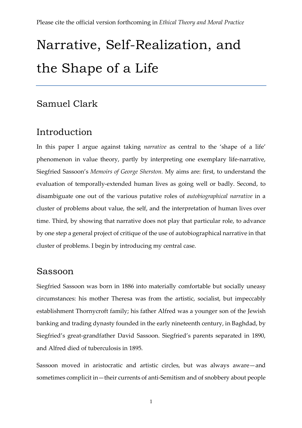# Narrative, Self-Realization, and the Shape of a Life

# Samuel Clark

# Introduction

In this paper I argue against taking *narrative* as central to the 'shape of a life' phenomenon in value theory, partly by interpreting one exemplary life-narrative, Siegfried Sassoon's *Memoirs of George Sherston.* My aims are: first, to understand the evaluation of temporally-extended human lives as going well or badly. Second, to disambiguate one out of the various putative roles of *autobiographical narrative* in a cluster of problems about value, the self, and the interpretation of human lives over time. Third, by showing that narrative does not play that particular role, to advance by one step a general project of critique of the use of autobiographical narrative in that cluster of problems. I begin by introducing my central case.

# Sassoon

Siegfried Sassoon was born in 1886 into materially comfortable but socially uneasy circumstances: his mother Theresa was from the artistic, socialist, but impeccably establishment Thornycroft family; his father Alfred was a younger son of the Jewish banking and trading dynasty founded in the early nineteenth century, in Baghdad, by Siegfried's great-grandfather David Sassoon. Siegfried's parents separated in 1890, and Alfred died of tuberculosis in 1895.

Sassoon moved in aristocratic and artistic circles, but was always aware—and sometimes complicit in—their currents of anti-Semitism and of snobbery about people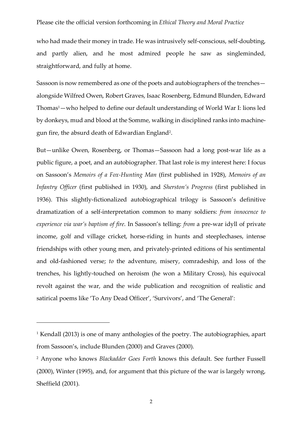who had made their money in trade. He was intrusively self-conscious, self-doubting, and partly alien, and he most admired people he saw as singleminded, straightforward, and fully at home.

Sassoon is now remembered as one of the poets and autobiographers of the trenches alongside Wilfred Owen, Robert Graves, Isaac Rosenberg, Edmund Blunden, Edward Thomas1 —who helped to define our default understanding of World War I: lions led by donkeys, mud and blood at the Somme, walking in disciplined ranks into machinegun fire, the absurd death of Edwardian England2 .

But—unlike Owen, Rosenberg, or Thomas—Sassoon had a long post-war life as a public figure, a poet, and an autobiographer. That last role is my interest here: I focus on Sassoon's *Memoirs of a Fox-Hunting Man* (first published in 1928), *Memoirs of an Infantry Officer* (first published in 1930), and *Sherston's Progress* (first published in 1936). This slightly-fictionalized autobiographical trilogy is Sassoon's definitive dramatization of a self-interpretation common to many soldiers: *from innocence to experience via war's baptism of fire*. In Sassoon's telling: *from* a pre-war idyll of private income, golf and village cricket, horse-riding in hunts and steeplechases, intense friendships with other young men, and privately-printed editions of his sentimental and old-fashioned verse; *to* the adventure, misery, comradeship, and loss of the trenches, his lightly-touched on heroism (he won a Military Cross), his equivocal revolt against the war, and the wide publication and recognition of realistic and satirical poems like 'To Any Dead Officer', 'Survivors', and 'The General':

 $\overline{a}$ 

<sup>&</sup>lt;sup>1</sup> Kendall (2013) is one of many anthologies of the poetry. The autobiographies, apart from Sassoon's, include Blunden (2000) and Graves (2000).

<sup>2</sup> Anyone who knows *Blackadder Goes Forth* knows this default. See further Fussell (2000), Winter (1995), and, for argument that this picture of the war is largely wrong, Sheffield (2001).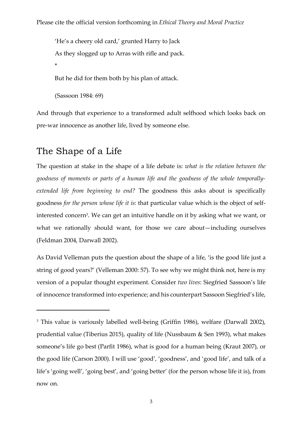'He's a cheery old card,' grunted Harry to Jack As they slogged up to Arras with rifle and pack. \*

But he did for them both by his plan of attack.

(Sassoon 1984: 69)

And through that experience to a transformed adult selfhood which looks back on pre-war innocence as another life, lived by someone else.

# The Shape of a Life

 $\overline{a}$ 

The question at stake in the shape of a life debate is: *what is the relation between the goodness of moments or parts of a human life and the goodness of the whole temporallyextended life from beginning to end?* The goodness this asks about is specifically goodness *for the person whose life it is*: that particular value which is the object of selfinterested concern<sup>3</sup>. We can get an intuitive handle on it by asking what we want, or what we rationally should want, for those we care about—including ourselves (Feldman 2004, Darwall 2002).

As David Velleman puts the question about the shape of a life, 'is the good life just a string of good years?' (Velleman 2000: 57). To see why we might think not, here is my version of a popular thought experiment. Consider *two lives*: Siegfried Sassoon's life of innocence transformed into experience; and his counterpart Sassoon Siegfried's life,

<sup>&</sup>lt;sup>3</sup> This value is variously labelled well-being (Griffin 1986), welfare (Darwall 2002), prudential value (Tiberius 2015), quality of life (Nussbaum & Sen 1993), what makes someone's life go best (Parfit 1986), what is good for a human being (Kraut 2007), or the good life (Carson 2000). I will use 'good', 'goodness', and 'good life', and talk of a life's 'going well', 'going best', and 'going better' (for the person whose life it is), from now on.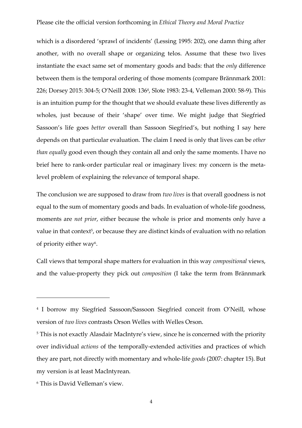which is a disordered 'sprawl of incidents' (Lessing 1995: 202), one damn thing after another, with no overall shape or organizing telos. Assume that these two lives instantiate the exact same set of momentary goods and bads: that the *only* difference between them is the temporal ordering of those moments (compare Brännmark 2001: 226; Dorsey 2015: 304-5; O'Neill 2008: 1364, Slote 1983: 23-4, Velleman 2000: 58-9). This is an intuition pump for the thought that we should evaluate these lives differently as wholes, just because of their 'shape' over time. We might judge that Siegfried Sassoon's life goes *better* overall than Sassoon Siegfried's, but nothing I say here depends on that particular evaluation. The claim I need is only that lives can be *other than equally* good even though they contain all and only the same moments. I have no brief here to rank-order particular real or imaginary lives: my concern is the metalevel problem of explaining the relevance of temporal shape.

The conclusion we are supposed to draw from *two lives* is that overall goodness is not equal to the sum of momentary goods and bads. In evaluation of whole-life goodness, moments are *not prior*, either because the whole is prior and moments only have a value in that context<sup>5</sup>, or because they are distinct kinds of evaluation with no relation of priority either way<sup>6</sup>.

Call views that temporal shape matters for evaluation in this way *compositional* views, and the value-property they pick out *composition* (I take the term from Brännmark

 $\overline{a}$ 

<sup>&</sup>lt;sup>4</sup> I borrow my Siegfried Sassoon/Sassoon Siegfried conceit from O'Neill, whose version of *two lives* contrasts Orson Welles with Welles Orson.

<sup>&</sup>lt;sup>5</sup> This is not exactly Alasdair MacIntyre's view, since he is concerned with the priority over individual *actions* of the temporally-extended activities and practices of which they are part, not directly with momentary and whole-life *goods* (2007: chapter 15). But my version is at least MacIntyrean.

<sup>6</sup> This is David Velleman's view.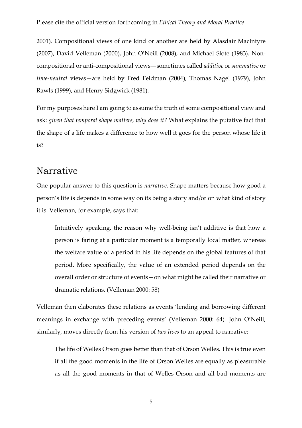2001). Compositional views of one kind or another are held by Alasdair MacIntyre (2007), David Velleman (2000), John O'Neill (2008), and Michael Slote (1983). Noncompositional or anti-compositional views—sometimes called *additive* or *summative* or *time-neutral* views—are held by Fred Feldman (2004), Thomas Nagel (1979), John Rawls (1999), and Henry Sidgwick (1981).

For my purposes here I am going to assume the truth of some compositional view and ask: *given that temporal shape matters, why does it?* What explains the putative fact that the shape of a life makes a difference to how well it goes for the person whose life it is?

# Narrative

One popular answer to this question is *narrative*. Shape matters because how good a person's life is depends in some way on its being a story and/or on what kind of story it is. Velleman, for example, says that:

Intuitively speaking, the reason why well-being isn't additive is that how a person is faring at a particular moment is a temporally local matter, whereas the welfare value of a period in his life depends on the global features of that period. More specifically, the value of an extended period depends on the overall order or structure of events—on what might be called their narrative or dramatic relations. (Velleman 2000: 58)

Velleman then elaborates these relations as events 'lending and borrowing different meanings in exchange with preceding events' (Velleman 2000: 64). John O'Neill, similarly, moves directly from his version of *two lives* to an appeal to narrative:

The life of Welles Orson goes better than that of Orson Welles. This is true even if all the good moments in the life of Orson Welles are equally as pleasurable as all the good moments in that of Welles Orson and all bad moments are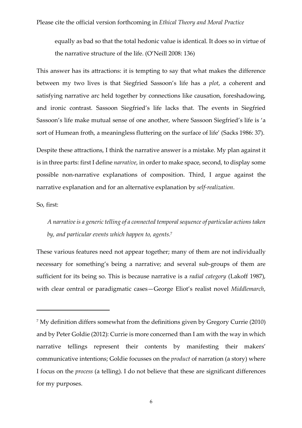equally as bad so that the total hedonic value is identical. It does so in virtue of the narrative structure of the life. (O'Neill 2008: 136)

This answer has its attractions: it is tempting to say that what makes the difference between my two lives is that Siegfried Sassoon's life has a *plot*, a coherent and satisfying narrative arc held together by connections like causation, foreshadowing, and ironic contrast. Sassoon Siegfried's life lacks that. The events in Siegfried Sassoon's life make mutual sense of one another, where Sassoon Siegfried's life is 'a sort of Humean froth, a meaningless fluttering on the surface of life' (Sacks 1986: 37).

Despite these attractions, I think the narrative answer is a mistake. My plan against it is in three parts: first I define *narrative*, in order to make space, second, to display some possible non-narrative explanations of composition. Third, I argue against the narrative explanation and for an alternative explanation by *self-realization*.

So, first:

 $\overline{a}$ 

*A narrative is a generic telling of a connected temporal sequence of particular actions taken by, and particular events which happen to, agents.* 7

These various features need not appear together; many of them are not individually necessary for something's being a narrative; and several sub-groups of them are sufficient for its being so. This is because narrative is a *radial category* (Lakoff 1987), with clear central or paradigmatic cases—George Eliot's realist novel *Middlemarch*,

<sup>7</sup> My definition differs somewhat from the definitions given by Gregory Currie (2010) and by Peter Goldie (2012): Currie is more concerned than I am with the way in which narrative tellings represent their contents by manifesting their makers' communicative intentions; Goldie focusses on the *product* of narration (a story) where I focus on the *process* (a telling). I do not believe that these are significant differences for my purposes.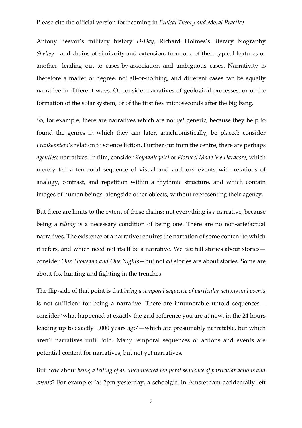Antony Beevor's military history *D-Day*, Richard Holmes's literary biography *Shelley*—and chains of similarity and extension, from one of their typical features or another, leading out to cases-by-association and ambiguous cases. Narrativity is therefore a matter of degree, not all-or-nothing, and different cases can be equally narrative in different ways. Or consider narratives of geological processes, or of the formation of the solar system, or of the first few microseconds after the big bang.

So, for example, there are narratives which are not *yet* generic, because they help to found the genres in which they can later, anachronistically, be placed: consider *Frankenstein*'s relation to science fiction. Further out from the centre, there are perhaps *agentless* narratives. In film, consider *Koyaanisqatsi* or *Fiorucci Made Me Hardcore*, which merely tell a temporal sequence of visual and auditory events with relations of analogy, contrast, and repetition within a rhythmic structure, and which contain images of human beings, alongside other objects, without representing their agency.

But there are limits to the extent of these chains: not everything is a narrative, because being a *telling* is a necessary condition of being one. There are no non-artefactual narratives. The existence of a narrative requires the narration of some content to which it refers, and which need not itself be a narrative. We *can* tell stories about stories consider *One Thousand and One Nights*—but not *all* stories are about stories. Some are about fox-hunting and fighting in the trenches.

The flip-side of that point is that *being a temporal sequence of particular actions and events* is not sufficient for being a narrative. There are innumerable untold sequences consider 'what happened at exactly the grid reference you are at now, in the 24 hours leading up to exactly 1,000 years ago'—which are presumably narratable, but which aren't narratives until told. Many temporal sequences of actions and events are potential content for narratives, but not yet narratives.

But how about *being a telling of an unconnected temporal sequence of particular actions and events*? For example: 'at 2pm yesterday, a schoolgirl in Amsterdam accidentally left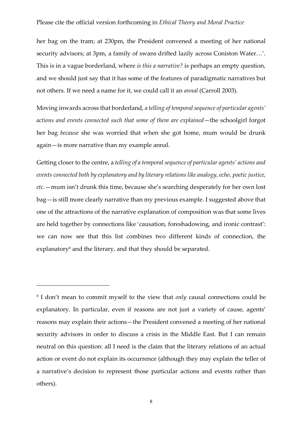her bag on the tram; at 230pm, the President convened a meeting of her national security advisors; at 3pm, a family of swans drifted lazily across Coniston Water…'. This is in a vague borderland, where *is this a narrative?* is perhaps an empty question, and we should just say that it has some of the features of paradigmatic narratives but not others. If we need a name for it, we could call it an *annal* (Carroll 2003).

Moving inwards across that borderland, *a telling of temporal sequence of particular agents' actions and events connected such that some of them are explained*—the schoolgirl forgot her bag *because* she was worried that when she got home, mum would be drunk again—is more narrative than my example annal.

Getting closer to the centre, a *telling of a temporal sequence of particular agents' actions and events connected both by explanatory and by literary relations like analogy, echo, poetic justice, etc.*—mum isn't drunk this time, because she's searching desperately for her own lost bag—is still more clearly narrative than my previous example. I suggested above that one of the attractions of the narrative explanation of composition was that some lives are held together by connections like 'causation, foreshadowing, and ironic contrast': we can now see that this list combines two different kinds of connection, the  $explanatory<sup>8</sup>$  and the literary, and that they should be separated.

 $\overline{a}$ 

<sup>8</sup> I don't mean to commit myself to the view that *only* causal connections could be explanatory. In particular, even if reasons are not just a variety of cause, agents' reasons may explain their actions—the President convened a meeting of her national security advisors in order to discuss a crisis in the Middle East. But I can remain neutral on this question: all I need is the claim that the literary relations of an actual action or event do not explain its occurrence (although they may explain the teller of a narrative's decision to represent those particular actions and events rather than others).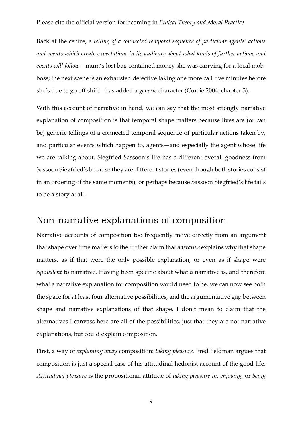Back at the centre, a *telling of a connected temporal sequence of particular agents' actions and events which create expectations in its audience about what kinds of further actions and events will follow*—mum's lost bag contained money she was carrying for a local mobboss; the next scene is an exhausted detective taking one more call five minutes before she's due to go off shift—has added a *generic* character (Currie 2004: chapter 3).

With this account of narrative in hand, we can say that the most strongly narrative explanation of composition is that temporal shape matters because lives are (or can be) generic tellings of a connected temporal sequence of particular actions taken by, and particular events which happen to, agents—and especially the agent whose life we are talking about. Siegfried Sassoon's life has a different overall goodness from Sassoon Siegfried's because they are different stories (even though both stories consist in an ordering of the same moments), or perhaps because Sassoon Siegfried's life fails to be a story at all.

# Non-narrative explanations of composition

Narrative accounts of composition too frequently move directly from an argument that shape over time matters to the further claim that *narrative* explains why that shape matters, as if that were the only possible explanation, or even as if shape were *equivalent* to narrative. Having been specific about what a narrative is, and therefore what a narrative explanation for composition would need to be, we can now see both the space for at least four alternative possibilities, and the argumentative gap between shape and narrative explanations of that shape. I don't mean to claim that the alternatives I canvass here are all of the possibilities, just that they are not narrative explanations, but could explain composition.

First, a way of *explaining away* composition: *taking pleasure.* Fred Feldman argues that composition is just a special case of his attitudinal hedonist account of the good life. *Attitudinal pleasure* is the propositional attitude of *taking pleasure in*, *enjoying*, or *being*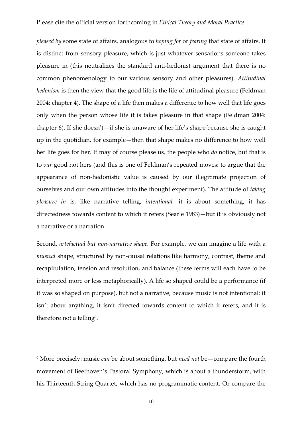*pleased by* some state of affairs, analogous to *hoping for* or *fearing* that state of affairs. It is distinct from sensory pleasure, which is just whatever sensations someone takes pleasure in (this neutralizes the standard anti-hedonist argument that there is no common phenomenology to our various sensory and other pleasures). *Attitudinal hedonism* is then the view that the good life is the life of attitudinal pleasure (Feldman 2004: chapter 4). The shape of a life then makes a difference to how well that life goes only when the person whose life it is takes pleasure in that shape (Feldman 2004: chapter 6). If she doesn't—if she is unaware of her life's shape because she is caught up in the quotidian, for example—then that shape makes no difference to how well her life goes for her. It may of course please us, the people who *do* notice, but that is to *our* good not hers (and this is one of Feldman's repeated moves: to argue that the appearance of non-hedonistic value is caused by our illegitimate projection of ourselves and our own attitudes into the thought experiment). The attitude of *taking pleasure in* is, like narrative telling, *intentional*—it is about something, it has directedness towards content to which it refers (Searle 1983)—but it is obviously not a narrative or a narration.

Second, *artefactual but non-narrative shape*. For example, we can imagine a life with a *musical* shape, structured by non-causal relations like harmony, contrast, theme and recapitulation, tension and resolution, and balance (these terms will each have to be interpreted more or less metaphorically). A life so shaped could be a performance (if it was so shaped on purpose), but not a narrative, because music is not intentional: it isn't about anything, it isn't directed towards content to which it refers, and it is therefore not a telling<sup>9</sup>.

 $\overline{a}$ 

<sup>9</sup> More precisely: music *can* be about something, but *need not* be—compare the fourth movement of Beethoven's Pastoral Symphony, which is about a thunderstorm, with his Thirteenth String Quartet, which has no programmatic content. Or compare the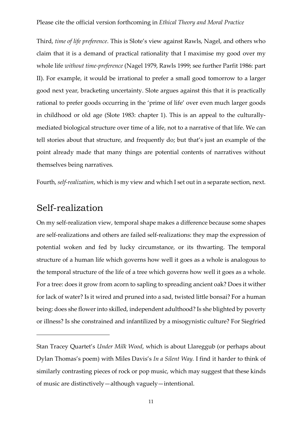Third, *time of life preference*. This is Slote's view against Rawls, Nagel, and others who claim that it is a demand of practical rationality that I maximise my good over my whole life *without time-preference* (Nagel 1979, Rawls 1999; see further Parfit 1986: part II). For example, it would be irrational to prefer a small good tomorrow to a larger good next year, bracketing uncertainty. Slote argues against this that it is practically rational to prefer goods occurring in the 'prime of life' over even much larger goods in childhood or old age (Slote 1983: chapter 1). This is an appeal to the culturallymediated biological structure over time of a life, not to a narrative of that life. We can tell stories about that structure, and frequently do; but that's just an example of the point already made that many things are potential contents of narratives without themselves being narratives.

Fourth, *self-realization*, which is my view and which I set out in a separate section, next.

### Self-realization

 $\overline{a}$ 

On my self-realization view, temporal shape makes a difference because some shapes are self-realizations and others are failed self-realizations: they map the expression of potential woken and fed by lucky circumstance, or its thwarting. The temporal structure of a human life which governs how well it goes as a whole is analogous to the temporal structure of the life of a tree which governs how well it goes as a whole. For a tree: does it grow from acorn to sapling to spreading ancient oak? Does it wither for lack of water? Is it wired and pruned into a sad, twisted little bonsai? For a human being: does she flower into skilled, independent adulthood? Is she blighted by poverty or illness? Is she constrained and infantilized by a misogynistic culture? For Siegfried

Stan Tracey Quartet's *Under Milk Wood*, which is about Llareggub (or perhaps about Dylan Thomas's poem) with Miles Davis's *In a Silent Way.* I find it harder to think of similarly contrasting pieces of rock or pop music, which may suggest that these kinds of music are distinctively—although vaguely—intentional.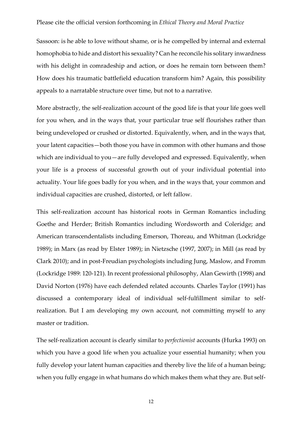Sassoon: is he able to love without shame, or is he compelled by internal and external homophobia to hide and distort his sexuality? Can he reconcile his solitary inwardness with his delight in comradeship and action, or does he remain torn between them? How does his traumatic battlefield education transform him? Again, this possibility appeals to a narratable structure over time, but not to a narrative.

More abstractly, the self-realization account of the good life is that your life goes well for you when, and in the ways that, your particular true self flourishes rather than being undeveloped or crushed or distorted. Equivalently, when, and in the ways that, your latent capacities—both those you have in common with other humans and those which are individual to you—are fully developed and expressed. Equivalently, when your life is a process of successful growth out of your individual potential into actuality. Your life goes badly for you when, and in the ways that, your common and individual capacities are crushed, distorted, or left fallow.

This self-realization account has historical roots in German Romantics including Goethe and Herder; British Romantics including Wordsworth and Coleridge; and American transcendentalists including Emerson, Thoreau, and Whitman (Lockridge 1989); in Marx (as read by Elster 1989); in Nietzsche (1997, 2007); in Mill (as read by Clark 2010); and in post-Freudian psychologists including Jung, Maslow, and Fromm (Lockridge 1989: 120-121). In recent professional philosophy, Alan Gewirth (1998) and David Norton (1976) have each defended related accounts. Charles Taylor (1991) has discussed a contemporary ideal of individual self-fulfillment similar to selfrealization. But I am developing my own account, not committing myself to any master or tradition.

The self-realization account is clearly similar to *perfectionist* accounts (Hurka 1993) on which you have a good life when you actualize your essential humanity; when you fully develop your latent human capacities and thereby live the life of a human being; when you fully engage in what humans do which makes them what they are. But self-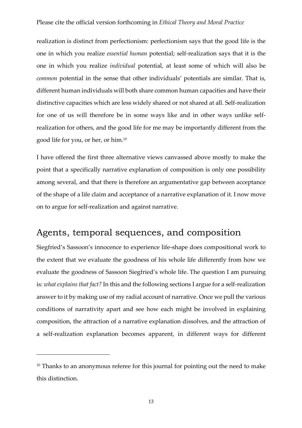realization is distinct from perfectionism: perfectionism says that the good life is the one in which you realize *essential human* potential; self-realization says that it is the one in which you realize *individual* potential, at least some of which will also be *common* potential in the sense that other individuals' potentials are similar. That is, different human individuals will both share common human capacities and have their distinctive capacities which are less widely shared or not shared at all. Self-realization for one of us will therefore be in some ways like and in other ways unlike selfrealization for others, and the good life for me may be importantly different from the good life for you, or her, or him.10

I have offered the first three alternative views canvassed above mostly to make the point that a specifically narrative explanation of composition is only one possibility among several, and that there is therefore an argumentative gap between acceptance of the shape of a life claim and acceptance of a narrative explanation of it. I now move on to argue for self-realization and against narrative.

# Agents, temporal sequences, and composition

Siegfried's Sassoon's innocence to experience life-shape does compositional work to the extent that we evaluate the goodness of his whole life differently from how we evaluate the goodness of Sassoon Siegfried's whole life. The question I am pursuing is: *what explains that fact?* In this and the following sections I argue for a self-realization answer to it by making use of my radial account of narrative. Once we pull the various conditions of narrativity apart and see how each might be involved in explaining composition, the attraction of a narrative explanation dissolves, and the attraction of a self-realization explanation becomes apparent, in different ways for different

 $\overline{a}$ 

<sup>&</sup>lt;sup>10</sup> Thanks to an anonymous referee for this journal for pointing out the need to make this distinction.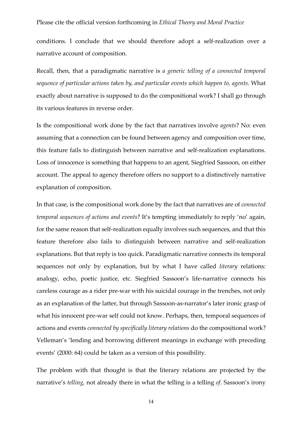conditions. I conclude that we should therefore adopt a self-realization over a narrative account of composition.

Recall, then, that a paradigmatic narrative is *a generic telling of a connected temporal sequence of particular actions taken by, and particular events which happen to, agents*. What exactly about narrative is supposed to do the compositional work? I shall go through its various features in reverse order.

Is the compositional work done by the fact that narratives involve *agents*? No: even assuming that a connection can be found between agency and composition over time, this feature fails to distinguish between narrative and self-realization explanations. Loss of innocence is something that happens to an agent, Siegfried Sassoon, on either account. The appeal to agency therefore offers no support to a distinctively narrative explanation of composition.

In that case, is the compositional work done by the fact that narratives are of *connected temporal sequences of actions and events*? It's tempting immediately to reply 'no' again, for the same reason that self-realization equally involves such sequences, and that this feature therefore also fails to distinguish between narrative and self-realization explanations. But that reply is too quick. Paradigmatic narrative connects its temporal sequences not only by explanation, but by what I have called *literary* relations: analogy, echo, poetic justice, etc. Siegfried Sassoon's life-narrative connects his careless courage as a rider pre-war with his suicidal courage in the trenches, not only as an explanation of the latter, but through Sassoon-as-narrator's later ironic grasp of what his innocent pre-war self could not know. Perhaps, then, temporal sequences of actions and events *connected by specifically literary relations* do the compositional work? Velleman's 'lending and borrowing different meanings in exchange with preceding events' (2000: 64) could be taken as a version of this possibility.

The problem with that thought is that the literary relations are projected by the narrative's *telling*, not already there in what the telling is a telling *of*. Sassoon's irony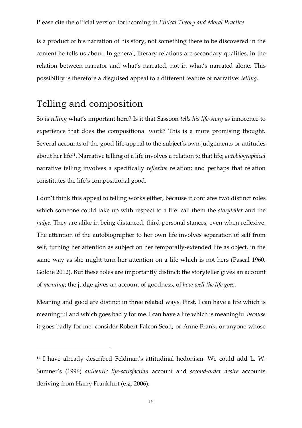is a product of his narration of his story, not something there to be discovered in the content he tells us about. In general, literary relations are secondary qualities, in the relation between narrator and what's narrated, not in what's narrated alone. This possibility is therefore a disguised appeal to a different feature of narrative: *telling.*

### Telling and composition

 $\overline{a}$ 

So is *telling* what's important here? Is it that Sassoon *tells his life-story as* innocence to experience that does the compositional work? This is a more promising thought. Several accounts of the good life appeal to the subject's own judgements or attitudes about her life11. Narrative telling of a life involves a relation to that life; *autobiographical* narrative telling involves a specifically *reflexive* relation; and perhaps that relation constitutes the life's compositional good.

I don't think this appeal to telling works either, because it conflates two distinct roles which someone could take up with respect to a life: call them the *storyteller* and the *judge*. They are alike in being distanced, third-personal stances, even when reflexive. The attention of the autobiographer to her own life involves separation of self from self, turning her attention as subject on her temporally-extended life as object, in the same way as she might turn her attention on a life which is not hers (Pascal 1960, Goldie 2012). But these roles are importantly distinct: the storyteller gives an account of *meaning*; the judge gives an account of goodness, of *how well the life goes*.

Meaning and good are distinct in three related ways. First, I can have a life which is meaningful and which goes badly for me. I can have a life which is meaningful *because* it goes badly for me: consider Robert Falcon Scott, or Anne Frank, or anyone whose

<sup>&</sup>lt;sup>11</sup> I have already described Feldman's attitudinal hedonism. We could add L. W. Sumner's (1996) *authentic life-satisfaction* account and *second-order desire* accounts deriving from Harry Frankfurt (e.g. 2006).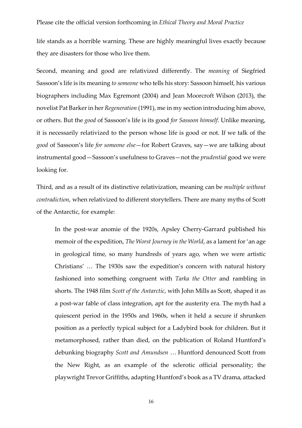life stands as a horrible warning. These are highly meaningful lives exactly because they are disasters for those who live them.

Second, meaning and good are relativized differently. The *meaning* of Siegfried Sassoon's life is its meaning *to someone* who tells his story: Sassoon himself, his various biographers including Max Egremont (2004) and Jean Moorcroft Wilson (2013), the novelist Pat Barker in her *Regeneration* (1991), me in my section introducing him above, or others. But the *good* of Sassoon's life is its good *for Sassoon himself*. Unlike meaning, it is necessarily relativized to the person whose life is good or not. If we talk of the *good* of Sassoon's life *for someone else*—for Robert Graves, say—we are talking about instrumental good—Sassoon's usefulness to Graves—not the *prudential* good we were looking for.

Third, and as a result of its distinctive relativization, meaning can be *multiple without contradiction*, when relativized to different storytellers. There are many myths of Scott of the Antarctic, for example:

In the post-war anomie of the 1920s, Apsley Cherry-Garrard published his memoir of the expedition, *The Worst Journey in the World*, as a lament for 'an age in geological time, so many hundreds of years ago, when we were artistic Christians' … The 1930s saw the expedition's concern with natural history fashioned into something congruent with *Tarka the Otter* and rambling in shorts. The 1948 film *Scott of the Antarctic*, with John Mills as Scott, shaped it as a post-war fable of class integration, apt for the austerity era. The myth had a quiescent period in the 1950s and 1960s, when it held a secure if shrunken position as a perfectly typical subject for a Ladybird book for children. But it metamorphosed, rather than died, on the publication of Roland Huntford's debunking biography *Scott and Amundsen* … Huntford denounced Scott from the New Right, as an example of the sclerotic official personality; the playwright Trevor Griffiths, adapting Huntford's book as a TV drama, attacked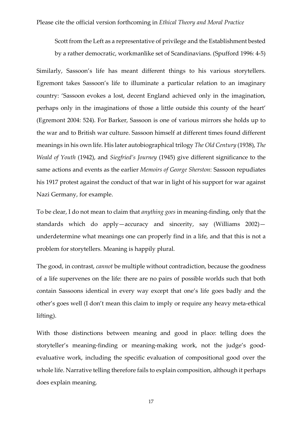Scott from the Left as a representative of privilege and the Establishment bested by a rather democratic, workmanlike set of Scandinavians. (Spufford 1996: 4-5)

Similarly, Sassoon's life has meant different things to his various storytellers. Egremont takes Sassoon's life to illuminate a particular relation to an imaginary country: 'Sassoon evokes a lost, decent England achieved only in the imagination, perhaps only in the imaginations of those a little outside this county of the heart' (Egremont 2004: 524). For Barker, Sassoon is one of various mirrors she holds up to the war and to British war culture. Sassoon himself at different times found different meanings in his own life. His later autobiographical trilogy *The Old Century* (1938), *The Weald of Youth* (1942), and *Siegfried's Journey* (1945) give different significance to the same actions and events as the earlier *Memoirs of George Sherston*: Sassoon repudiates his 1917 protest against the conduct of that war in light of his support for war against Nazi Germany, for example.

To be clear, I do not mean to claim that *anything goes* in meaning-finding, only that the standards which do apply—accuracy and sincerity, say (Williams 2002) underdetermine what meanings one can properly find in a life, and that this is not a problem for storytellers. Meaning is happily plural.

The good, in contrast, *cannot* be multiple without contradiction, because the goodness of a life supervenes on the life: there are no pairs of possible worlds such that both contain Sassoons identical in every way except that one's life goes badly and the other's goes well (I don't mean this claim to imply or require any heavy meta-ethical lifting).

With those distinctions between meaning and good in place: telling does the storyteller's meaning-finding or meaning-making work, not the judge's goodevaluative work, including the specific evaluation of compositional good over the whole life. Narrative telling therefore fails to explain composition, although it perhaps does explain meaning.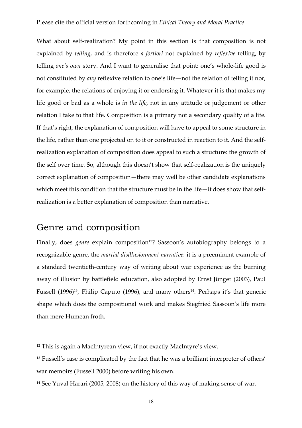What about self-realization? My point in this section is that composition is not explained by *telling*, and is therefore *a fortiori* not explained by *reflexive* telling, by telling *one's own* story. And I want to generalise that point: one's whole-life good is not constituted by *any* reflexive relation to one's life—not the relation of telling it nor, for example, the relations of enjoying it or endorsing it. Whatever it is that makes my life good or bad as a whole is *in the life*, not in any attitude or judgement or other relation I take to that life. Composition is a primary not a secondary quality of a life. If that's right, the explanation of composition will have to appeal to some structure in the life, rather than one projected on to it or constructed in reaction to it. And the selfrealization explanation of composition does appeal to such a structure: the growth of the self over time. So, although this doesn't show that self-realization is the uniquely correct explanation of composition—there may well be other candidate explanations which meet this condition that the structure must be in the life—it does show that selfrealization is a better explanation of composition than narrative.

### Genre and composition

 $\overline{a}$ 

Finally, does *genre* explain composition<sup>12</sup>? Sassoon's autobiography belongs to a recognizable genre, the *martial disillusionment narrative*: it is a preeminent example of a standard twentieth-century way of writing about war experience as the burning away of illusion by battlefield education, also adopted by Ernst Jünger (2003), Paul Fussell (1996)<sup>13</sup>, Philip Caputo (1996), and many others<sup>14</sup>. Perhaps it's that generic shape which does the compositional work and makes Siegfried Sassoon's life more than mere Humean froth.

<sup>&</sup>lt;sup>12</sup> This is again a MacIntyrean view, if not exactly MacIntyre's view.

<sup>&</sup>lt;sup>13</sup> Fussell's case is complicated by the fact that he was a brilliant interpreter of others' war memoirs (Fussell 2000) before writing his own.

<sup>&</sup>lt;sup>14</sup> See Yuval Harari (2005, 2008) on the history of this way of making sense of war.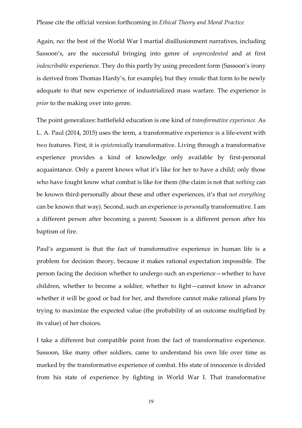Again, no: the best of the World War I martial disillusionment narratives, including Sassoon's, are the successful bringing into genre of *unprecedented* and at first *indescribable* experience. They do this partly by using precedent form (Sassoon's irony is derived from Thomas Hardy's, for example), but they *remake* that form to be newly adequate to that new experience of industrialized mass warfare. The experience is *prior* to the making over into genre.

The point generalizes: battlefield education is one kind of *transformative experience.* As L. A. Paul (2014, 2015) uses the term, a transformative experience is a life-event with two features. First, it is *epistemically* transformative. Living through a transformative experience provides a kind of knowledge only available by first-personal acquaintance. Only a parent knows what it's like for her to have a child; only those who have fought know what combat is like for them (the claim is not that *nothing* can be known third-personally about these and other experiences, it's that *not everything* can be known that way). Second, such an experience is *personally* transformative. I am a different person after becoming a parent; Sassoon is a different person after his baptism of fire.

Paul's argument is that the fact of transformative experience in human life is a problem for decision theory, because it makes rational expectation impossible. The person facing the decision whether to undergo such an experience—whether to have children, whether to become a soldier, whether to fight—cannot know in advance whether it will be good or bad for her, and therefore cannot make rational plans by trying to maximize the expected value (the probability of an outcome multiplied by its value) of her choices.

I take a different but compatible point from the fact of transformative experience. Sassoon, like many other soldiers, came to understand his own life over time as marked by the transformative experience of combat. His state of innocence is divided from his state of experience by fighting in World War I. That transformative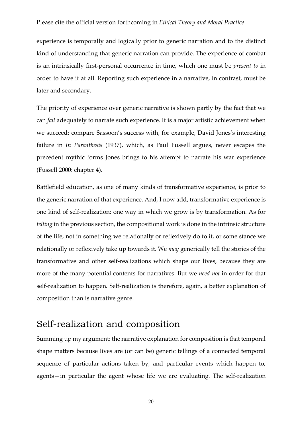experience is temporally and logically prior to generic narration and to the distinct kind of understanding that generic narration can provide. The experience of combat is an intrinsically first-personal occurrence in time, which one must be *present to* in order to have it at all. Reporting such experience in a narrative, in contrast, must be later and secondary.

The priority of experience over generic narrative is shown partly by the fact that we can *fail* adequately to narrate such experience. It is a major artistic achievement when we succeed: compare Sassoon's success with, for example, David Jones's interesting failure in *In Parenthesis* (1937), which, as Paul Fussell argues, never escapes the precedent mythic forms Jones brings to his attempt to narrate his war experience (Fussell 2000: chapter 4).

Battlefield education, as one of many kinds of transformative experience, is prior to the generic narration of that experience. And, I now add, transformative experience is one kind of self-realization: one way in which we grow is by transformation. As for *telling* in the previous section, the compositional work is done in the intrinsic structure of the life, not in something we relationally or reflexively do to it, or some stance we relationally or reflexively take up towards it. We *may* generically tell the stories of the transformative and other self-realizations which shape our lives, because they are more of the many potential contents for narratives. But we *need not* in order for that self-realization to happen. Self-realization is therefore, again, a better explanation of composition than is narrative genre.

### Self-realization and composition

Summing up my argument: the narrative explanation for composition is that temporal shape matters because lives are (or can be) generic tellings of a connected temporal sequence of particular actions taken by, and particular events which happen to, agents—in particular the agent whose life we are evaluating. The self-realization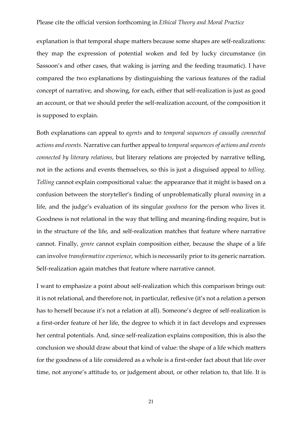explanation is that temporal shape matters because some shapes are self-realizations: they map the expression of potential woken and fed by lucky circumstance (in Sassoon's and other cases, that waking is jarring and the feeding traumatic). I have compared the two explanations by distinguishing the various features of the radial concept of narrative, and showing, for each, either that self-realization is just as good an account, or that we should prefer the self-realization account, of the composition it is supposed to explain.

Both explanations can appeal to *agents* and to *temporal sequences of causally connected actions and events*. Narrative can further appeal to *temporal sequences of actions and events connected by literary relations*, but literary relations are projected by narrative telling, not in the actions and events themselves, so this is just a disguised appeal to *telling*. *Telling* cannot explain compositional value: the appearance that it might is based on a confusion between the storyteller's finding of unproblematically plural *meaning* in a life, and the judge's evaluation of its singular *goodness* for the person who lives it. Goodness is not relational in the way that telling and meaning-finding require, but is in the structure of the life, and self-realization matches that feature where narrative cannot. Finally, *genre* cannot explain composition either, because the shape of a life can involve *transformative experience*, which is necessarily prior to its generic narration. Self-realization again matches that feature where narrative cannot.

I want to emphasize a point about self-realization which this comparison brings out: it is not relational, and therefore not, in particular, reflexive (it's not a relation a person has to herself because it's not a relation at all). Someone's degree of self-realization is a first-order feature of her life, the degree to which it in fact develops and expresses her central potentials. And, since self-realization explains composition, this is also the conclusion we should draw about that kind of value: the shape of a life which matters for the goodness of a life considered as a whole is a first-order fact about that life over time, not anyone's attitude to, or judgement about, or other relation to, that life. It is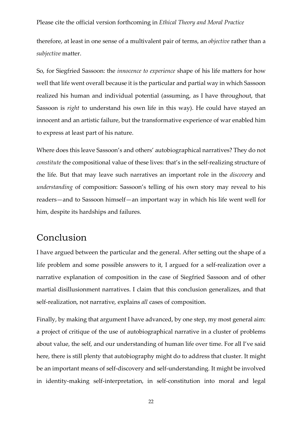therefore, at least in one sense of a multivalent pair of terms, an *objective* rather than a *subjective* matter.

So, for Siegfried Sassoon: the *innocence to experience* shape of his life matters for how well that life went overall because it is the particular and partial way in which Sassoon realized his human and individual potential (assuming, as I have throughout, that Sassoon is *right* to understand his own life in this way). He could have stayed an innocent and an artistic failure, but the transformative experience of war enabled him to express at least part of his nature.

Where does this leave Sassoon's and others' autobiographical narratives? They do not *constitute* the compositional value of these lives: that's in the self-realizing structure of the life. But that may leave such narratives an important role in the *discovery* and *understanding* of composition: Sassoon's telling of his own story may reveal to his readers—and to Sassoon himself—an important way in which his life went well for him, despite its hardships and failures.

# Conclusion

I have argued between the particular and the general. After setting out the shape of a life problem and some possible answers to it, I argued for a self-realization over a narrative explanation of composition in the case of Siegfried Sassoon and of other martial disillusionment narratives. I claim that this conclusion generalizes, and that self-realization, not narrative, explains *all* cases of composition.

Finally, by making that argument I have advanced, by one step, my most general aim: a project of critique of the use of autobiographical narrative in a cluster of problems about value, the self, and our understanding of human life over time. For all I've said here, there is still plenty that autobiography might do to address that cluster. It might be an important means of self-discovery and self-understanding. It might be involved in identity-making self-interpretation, in self-constitution into moral and legal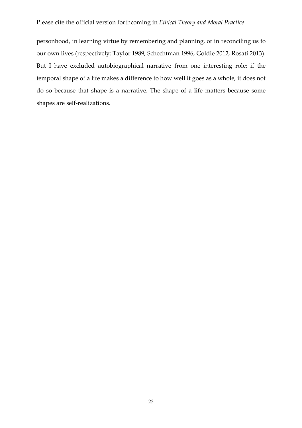personhood, in learning virtue by remembering and planning, or in reconciling us to our own lives (respectively: Taylor 1989, Schechtman 1996, Goldie 2012, Rosati 2013). But I have excluded autobiographical narrative from one interesting role: if the temporal shape of a life makes a difference to how well it goes as a whole, it does not do so because that shape is a narrative. The shape of a life matters because some shapes are self-realizations.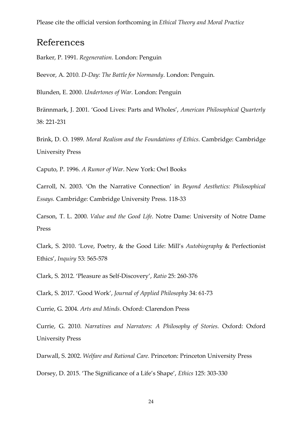### References

Barker, P. 1991. *Regeneration*. London: Penguin

Beevor, A. 2010. *D-Day: The Battle for Normandy*. London: Penguin.

Blunden, E. 2000. *Undertones of War.* London: Penguin

Brännmark, J. 2001. 'Good Lives: Parts and Wholes', *American Philosophical Quarterly* 38: 221-231

Brink, D. O. 1989. *Moral Realism and the Foundations of Ethics*. Cambridge: Cambridge University Press

Caputo, P. 1996. *A Rumor of War*. New York: Owl Books

Carroll, N. 2003. 'On the Narrative Connection' in *Beyond Aesthetics: Philosophical Essays.* Cambridge: Cambridge University Press. 118-33

Carson, T. L. 2000. *Value and the Good Life*. Notre Dame: University of Notre Dame Press

Clark, S. 2010. 'Love, Poetry, & the Good Life: Mill's *Autobiography* & Perfectionist Ethics', *Inquiry* 53: 565-578

Clark, S. 2012. 'Pleasure as Self-Discovery', *Ratio* 25: 260-376

Clark, S. 2017. 'Good Work', *Journal of Applied Philosophy* 34: 61-73

Currie, G. 2004. *Arts and Minds*. Oxford: Clarendon Press

Currie, G. 2010. *Narratives and Narrators: A Philosophy of Stories*. Oxford: Oxford University Press

Darwall, S. 2002. *Welfare and Rational Care.* Princeton: Princeton University Press

Dorsey, D. 2015. 'The Significance of a Life's Shape', *Ethics* 125: 303-330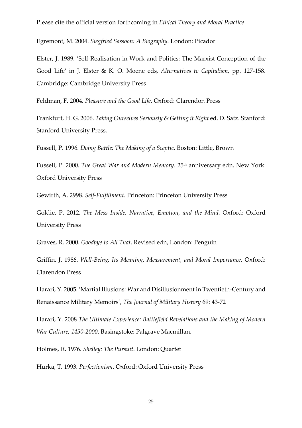Egremont, M. 2004. *Siegfried Sassoon: A Biography*. London: Picador

Elster, J. 1989. 'Self-Realisation in Work and Politics: The Marxist Conception of the Good Life' in J. Elster & K. O. Moene eds, *Alternatives to Capitalism*, pp. 127-158. Cambridge: Cambridge University Press

Feldman, F. 2004. *Pleasure and the Good Life*. Oxford: Clarendon Press

Frankfurt, H. G. 2006. *Taking Ourselves Seriously & Getting it Right* ed. D. Satz. Stanford: Stanford University Press.

Fussell, P. 1996. *Doing Battle: The Making of a Sceptic*. Boston: Little, Brown

Fussell, P. 2000. *The Great War and Modern Memory*. 25<sup>th</sup> anniversary edn, New York: Oxford University Press

Gewirth, A. 2998. *Self-Fulfillment*. Princeton: Princeton University Press

Goldie, P. 2012. *The Mess Inside: Narrative, Emotion, and the Mind*. Oxford: Oxford University Press

Graves, R. 2000. *Goodbye to All That*. Revised edn, London: Penguin

Griffin, J. 1986. *Well-Being: Its Meaning, Measurement, and Moral Importance.* Oxford: Clarendon Press

Harari, Y. 2005. 'Martial Illusions: War and Disillusionment in Twentieth-Century and Renaissance Military Memoirs', *The Journal of Military History* 69: 43-72

Harari, Y. 2008 *The Ultimate Experience: Battlefield Revelations and the Making of Modern War Culture, 1450-2000*. Basingstoke: Palgrave Macmillan.

Holmes, R. 1976. *Shelley: The Pursuit*. London: Quartet

Hurka, T. 1993. *Perfectionism*. Oxford: Oxford University Press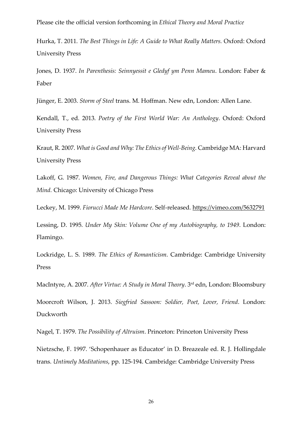Hurka, T. 2011. *The Best Things in Life: A Guide to What Really Matters.* Oxford: Oxford University Press

Jones, D. 1937. *In Parenthesis: Seinnyessit e Gledyf ym Penn Mameu*. London: Faber & Faber

Jünger, E. 2003. *Storm of Steel* trans. M. Hoffman. New edn, London: Allen Lane.

Kendall, T., ed. 2013. *Poetry of the First World War: An Anthology*. Oxford: Oxford University Press

Kraut, R. 2007. *What is Good and Why: The Ethics of Well-Being*. Cambridge MA: Harvard University Press

Lakoff, G. 1987. *Women, Fire, and Dangerous Things: What Categories Reveal about the Mind.* Chicago: University of Chicago Press

Leckey, M. 1999. *Fiorucci Made Me Hardcore*. Self-released. https://vimeo.com/5632791

Lessing, D. 1995. *Under My Skin: Volume One of my Autobiography, to 1949*. London: Flamingo.

Lockridge, L. S. 1989. *The Ethics of Romanticism*. Cambridge: Cambridge University Press

MacIntyre, A. 2007. *After Virtue: A Study in Moral Theory*. 3rd edn, London: Bloomsbury

Moorcroft Wilson, J. 2013. *Siegfried Sassoon: Soldier, Poet, Lover, Friend*. London: Duckworth

Nagel, T. 1979. *The Possibility of Altruism*. Princeton: Princeton University Press

Nietzsche, F. 1997. 'Schopenhauer as Educator' in D. Breazeale ed. R. J. Hollingdale trans. *Untimely Meditations*, pp. 125-194. Cambridge: Cambridge University Press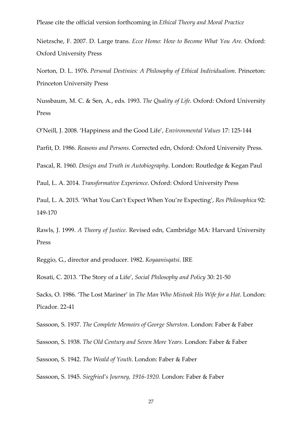Nietzsche, F. 2007. D. Large trans. *Ecce Homo: How to Become What You Are.* Oxford: Oxford University Press

Norton, D. L. 1976. *Personal Destinies: A Philosophy of Ethical Individualism*. Princeton: Princeton University Press

Nussbaum, M. C. & Sen, A., eds. 1993. *The Quality of Life*. Oxford: Oxford University Press

O'Neill, J. 2008. 'Happiness and the Good Life', *Environmental Values* 17: 125-144

Parfit, D. 1986. *Reasons and Persons*. Corrected edn, Oxford: Oxford University Press.

Pascal, R. 1960. *Design and Truth in Autobiography*. London: Routledge & Kegan Paul

Paul, L. A. 2014. *Transformative Experience*. Oxford: Oxford University Press

Paul, L. A. 2015. 'What You Can't Expect When You're Expecting', *Res Philosophica* 92: 149-170

Rawls, J. 1999. *A Theory of Justice*. Revised edn, Cambridge MA: Harvard University Press

Reggio, G., director and producer. 1982. *Koyaanisqatsi*. IRE

Rosati, C. 2013. 'The Story of a Life', *Social Philosophy and Policy* 30: 21-50

Sacks, O. 1986. 'The Lost Mariner' in *The Man Who Mistook His Wife for a Hat*. London: Picador. 22-41

Sassoon, S. 1937. *The Complete Memoirs of George Sherston*. London: Faber & Faber

Sassoon, S. 1938. *The Old Century and Seven More Years*. London: Faber & Faber

Sassoon, S. 1942. *The Weald of Youth*. London: Faber & Faber

Sassoon, S. 1945. *Siegfried's Journey, 1916-1920.* London: Faber & Faber